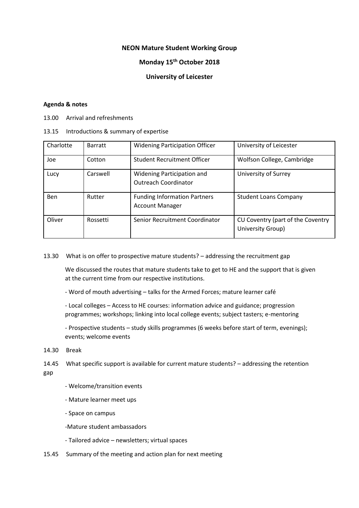## **NEON Mature Student Working Group**

## **Monday 15th October 2018**

## **University of Leicester**

## **Agenda & notes**

13.00 Arrival and refreshments

13.15 Introductions & summary of expertise

| Charlotte  | <b>Barratt</b> | <b>Widening Participation Officer</b>                            | University of Leicester                                |
|------------|----------------|------------------------------------------------------------------|--------------------------------------------------------|
| Joe        | Cotton         | <b>Student Recruitment Officer</b>                               | Wolfson College, Cambridge                             |
| Lucy       | Carswell       | <b>Widening Participation and</b><br><b>Outreach Coordinator</b> | University of Surrey                                   |
| <b>Ben</b> | Rutter         | <b>Funding Information Partners</b><br><b>Account Manager</b>    | <b>Student Loans Company</b>                           |
| Oliver     | Rossetti       | Senior Recruitment Coordinator                                   | CU Coventry (part of the Coventry<br>University Group) |

13.30 What is on offer to prospective mature students? – addressing the recruitment gap

We discussed the routes that mature students take to get to HE and the support that is given at the current time from our respective institutions.

- Word of mouth advertising – talks for the Armed Forces; mature learner café

- Local colleges – Access to HE courses: information advice and guidance; progression programmes; workshops; linking into local college events; subject tasters; e-mentoring

- Prospective students – study skills programmes (6 weeks before start of term, evenings); events; welcome events

14.30 Break

14.45 What specific support is available for current mature students? – addressing the retention gap

- Welcome/transition events
- Mature learner meet ups
- Space on campus
- -Mature student ambassadors
- Tailored advice newsletters; virtual spaces
- 15.45 Summary of the meeting and action plan for next meeting